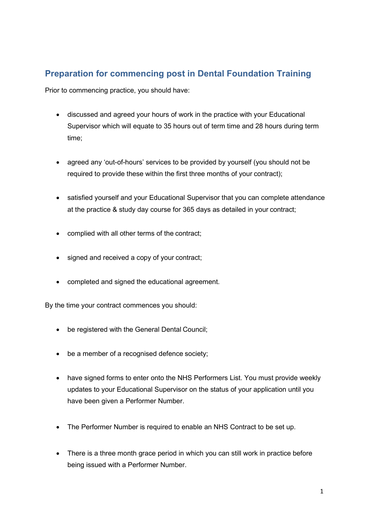## **Preparation for commencing post in Dental Foundation Training**

Prior to commencing practice, you should have:

- discussed and agreed your hours of work in the practice with your Educational Supervisor which will equate to 35 hours out of term time and 28 hours during term time;
- agreed any 'out-of-hours' services to be provided by yourself (you should not be required to provide these within the first three months of your contract);
- satisfied yourself and your Educational Supervisor that you can complete attendance at the practice & study day course for 365 days as detailed in your contract;
- complied with all other terms of the contract;
- signed and received a copy of your contract;
- completed and signed the educational agreement.

By the time your contract commences you should:

- be registered with the General Dental Council;
- be a member of a recognised defence society;
- have signed forms to enter onto the NHS Performers List. You must provide weekly updates to your Educational Supervisor on the status of your application until you have been given a Performer Number.
- The Performer Number is required to enable an NHS Contract to be set up.
- There is a three month grace period in which you can still work in practice before being issued with a Performer Number.